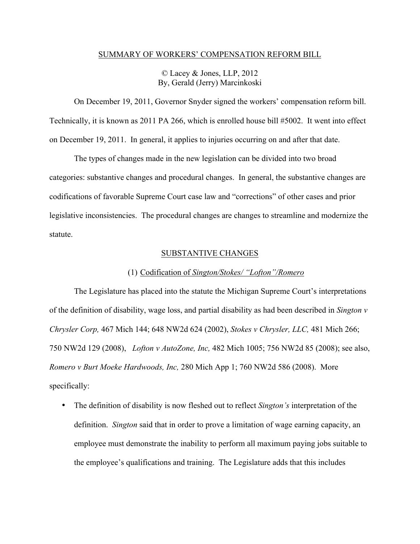## SUMMARY OF WORKERS' COMPENSATION REFORM BILL

# © Lacey & Jones, LLP, 2012 By, Gerald (Jerry) Marcinkoski

On December 19, 2011, Governor Snyder signed the workers' compensation reform bill. Technically, it is known as 2011 PA 266, which is enrolled house bill #5002. It went into effect on December 19, 2011. In general, it applies to injuries occurring on and after that date.

The types of changes made in the new legislation can be divided into two broad categories: substantive changes and procedural changes. In general, the substantive changes are codifications of favorable Supreme Court case law and "corrections" of other cases and prior legislative inconsistencies. The procedural changes are changes to streamline and modernize the statute.

# SUBSTANTIVE CHANGES

# (1) Codification of *Sington/Stokes/ "Lofton"/Romero*

The Legislature has placed into the statute the Michigan Supreme Court's interpretations of the definition of disability, wage loss, and partial disability as had been described in *Sington v Chrysler Corp,* 467 Mich 144; 648 NW2d 624 (2002), *Stokes v Chrysler, LLC,* 481 Mich 266; 750 NW2d 129 (2008), *Lofton v AutoZone, Inc,* 482 Mich 1005; 756 NW2d 85 (2008); see also, *Romero v Burt Moeke Hardwoods, Inc,* 280 Mich App 1; 760 NW2d 586 (2008). More specifically:

• The definition of disability is now fleshed out to reflect *Sington's* interpretation of the definition. *Sington* said that in order to prove a limitation of wage earning capacity, an employee must demonstrate the inability to perform all maximum paying jobs suitable to the employee's qualifications and training. The Legislature adds that this includes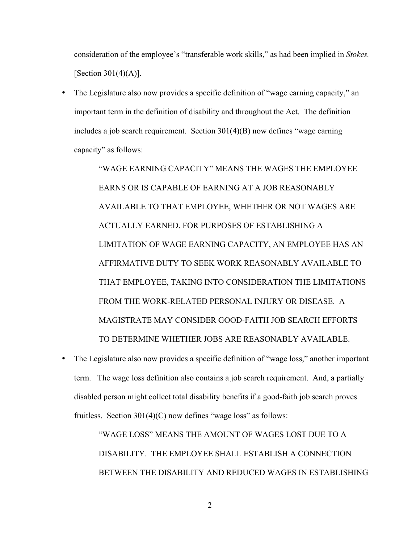consideration of the employee's "transferable work skills," as had been implied in *Stokes.*  [Section 301(4)(A)].

• The Legislature also now provides a specific definition of "wage earning capacity," an important term in the definition of disability and throughout the Act. The definition includes a job search requirement. Section 301(4)(B) now defines "wage earning capacity" as follows:

> "WAGE EARNING CAPACITY" MEANS THE WAGES THE EMPLOYEE EARNS OR IS CAPABLE OF EARNING AT A JOB REASONABLY AVAILABLE TO THAT EMPLOYEE, WHETHER OR NOT WAGES ARE ACTUALLY EARNED. FOR PURPOSES OF ESTABLISHING A LIMITATION OF WAGE EARNING CAPACITY, AN EMPLOYEE HAS AN AFFIRMATIVE DUTY TO SEEK WORK REASONABLY AVAILABLE TO THAT EMPLOYEE, TAKING INTO CONSIDERATION THE LIMITATIONS FROM THE WORK-RELATED PERSONAL INJURY OR DISEASE. A MAGISTRATE MAY CONSIDER GOOD-FAITH JOB SEARCH EFFORTS TO DETERMINE WHETHER JOBS ARE REASONABLY AVAILABLE.

• The Legislature also now provides a specific definition of "wage loss," another important term. The wage loss definition also contains a job search requirement. And, a partially disabled person might collect total disability benefits if a good-faith job search proves fruitless. Section  $301(4)(C)$  now defines "wage loss" as follows:

> "WAGE LOSS" MEANS THE AMOUNT OF WAGES LOST DUE TO A DISABILITY. THE EMPLOYEE SHALL ESTABLISH A CONNECTION BETWEEN THE DISABILITY AND REDUCED WAGES IN ESTABLISHING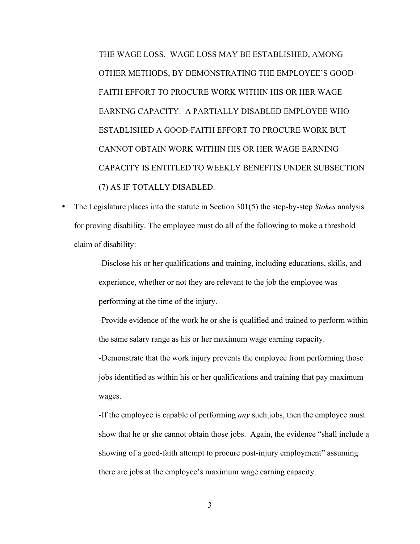THE WAGE LOSS. WAGE LOSS MAY BE ESTABLISHED, AMONG OTHER METHODS, BY DEMONSTRATING THE EMPLOYEE'S GOOD-FAITH EFFORT TO PROCURE WORK WITHIN HIS OR HER WAGE EARNING CAPACITY. A PARTIALLY DISABLED EMPLOYEE WHO ESTABLISHED A GOOD-FAITH EFFORT TO PROCURE WORK BUT CANNOT OBTAIN WORK WITHIN HIS OR HER WAGE EARNING CAPACITY IS ENTITLED TO WEEKLY BENEFITS UNDER SUBSECTION (7) AS IF TOTALLY DISABLED.

• The Legislature places into the statute in Section 301(5) the step-by-step *Stokes* analysis for proving disability. The employee must do all of the following to make a threshold claim of disability:

> -Disclose his or her qualifications and training, including educations, skills, and experience, whether or not they are relevant to the job the employee was performing at the time of the injury.

-Provide evidence of the work he or she is qualified and trained to perform within the same salary range as his or her maximum wage earning capacity.

-Demonstrate that the work injury prevents the employee from performing those jobs identified as within his or her qualifications and training that pay maximum wages.

-If the employee is capable of performing *any* such jobs, then the employee must show that he or she cannot obtain those jobs. Again, the evidence "shall include a showing of a good-faith attempt to procure post-injury employment" assuming there are jobs at the employee's maximum wage earning capacity.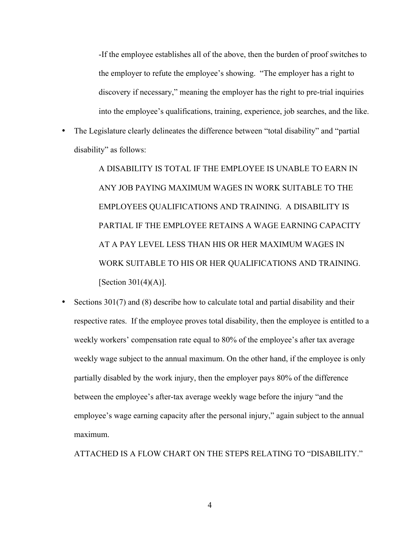-If the employee establishes all of the above, then the burden of proof switches to the employer to refute the employee's showing. "The employer has a right to discovery if necessary," meaning the employer has the right to pre-trial inquiries into the employee's qualifications, training, experience, job searches, and the like.

• The Legislature clearly delineates the difference between "total disability" and "partial disability" as follows:

> A DISABILITY IS TOTAL IF THE EMPLOYEE IS UNABLE TO EARN IN ANY JOB PAYING MAXIMUM WAGES IN WORK SUITABLE TO THE EMPLOYEES QUALIFICATIONS AND TRAINING. A DISABILITY IS PARTIAL IF THE EMPLOYEE RETAINS A WAGE EARNING CAPACITY AT A PAY LEVEL LESS THAN HIS OR HER MAXIMUM WAGES IN WORK SUITABLE TO HIS OR HER QUALIFICATIONS AND TRAINING. [Section 301(4)(A)].

• Sections 301(7) and (8) describe how to calculate total and partial disability and their respective rates. If the employee proves total disability, then the employee is entitled to a weekly workers' compensation rate equal to 80% of the employee's after tax average weekly wage subject to the annual maximum. On the other hand, if the employee is only partially disabled by the work injury, then the employer pays 80% of the difference between the employee's after-tax average weekly wage before the injury "and the employee's wage earning capacity after the personal injury," again subject to the annual maximum.

ATTACHED IS A FLOW CHART ON THE STEPS RELATING TO "DISABILITY."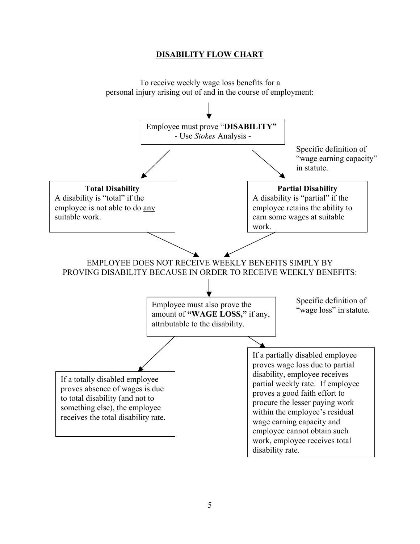# **DISABILITY FLOW CHART**

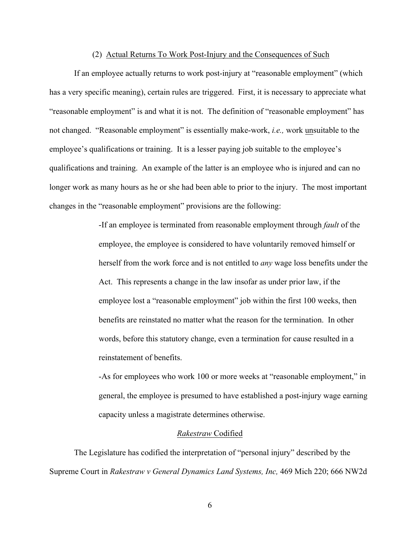#### (2) Actual Returns To Work Post-Injury and the Consequences of Such

If an employee actually returns to work post-injury at "reasonable employment" (which has a very specific meaning), certain rules are triggered. First, it is necessary to appreciate what "reasonable employment" is and what it is not. The definition of "reasonable employment" has not changed. "Reasonable employment" is essentially make-work, *i.e.,* work unsuitable to the employee's qualifications or training. It is a lesser paying job suitable to the employee's qualifications and training. An example of the latter is an employee who is injured and can no longer work as many hours as he or she had been able to prior to the injury. The most important changes in the "reasonable employment" provisions are the following:

> -If an employee is terminated from reasonable employment through *fault* of the employee, the employee is considered to have voluntarily removed himself or herself from the work force and is not entitled to *any* wage loss benefits under the Act. This represents a change in the law insofar as under prior law, if the employee lost a "reasonable employment" job within the first 100 weeks, then benefits are reinstated no matter what the reason for the termination. In other words, before this statutory change, even a termination for cause resulted in a reinstatement of benefits.

> -As for employees who work 100 or more weeks at "reasonable employment," in general, the employee is presumed to have established a post-injury wage earning capacity unless a magistrate determines otherwise.

## *Rakestraw* Codified

The Legislature has codified the interpretation of "personal injury" described by the Supreme Court in *Rakestraw v General Dynamics Land Systems, Inc,* 469 Mich 220; 666 NW2d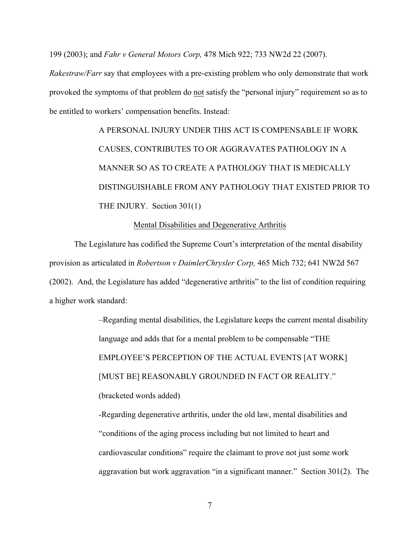199 (2003); and *Fahr v General Motors Corp,* 478 Mich 922; 733 NW2d 22 (2007).

*Rakestraw/Farr* say that employees with a pre-existing problem who only demonstrate that work provoked the symptoms of that problem do not satisfy the "personal injury" requirement so as to be entitled to workers' compensation benefits. Instead:

> A PERSONAL INJURY UNDER THIS ACT IS COMPENSABLE IF WORK CAUSES, CONTRIBUTES TO OR AGGRAVATES PATHOLOGY IN A MANNER SO AS TO CREATE A PATHOLOGY THAT IS MEDICALLY DISTINGUISHABLE FROM ANY PATHOLOGY THAT EXISTED PRIOR TO THE INJURY. Section 301(1)

## Mental Disabilities and Degenerative Arthritis

The Legislature has codified the Supreme Court's interpretation of the mental disability provision as articulated in *Robertson v DaimlerChrysler Corp,* 465 Mich 732; 641 NW2d 567 (2002). And, the Legislature has added "degenerative arthritis" to the list of condition requiring a higher work standard:

> –Regarding mental disabilities, the Legislature keeps the current mental disability language and adds that for a mental problem to be compensable "THE EMPLOYEE'S PERCEPTION OF THE ACTUAL EVENTS [AT WORK] [MUST BE] REASONABLY GROUNDED IN FACT OR REALITY." (bracketed words added) -Regarding degenerative arthritis, under the old law, mental disabilities and "conditions of the aging process including but not limited to heart and

> cardiovascular conditions" require the claimant to prove not just some work aggravation but work aggravation "in a significant manner." Section 301(2). The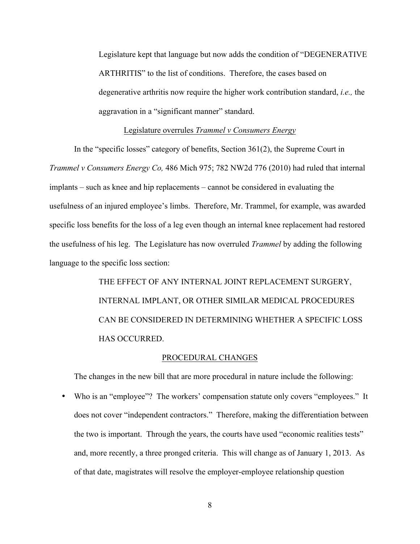Legislature kept that language but now adds the condition of "DEGENERATIVE ARTHRITIS" to the list of conditions. Therefore, the cases based on degenerative arthritis now require the higher work contribution standard, *i.e.,* the aggravation in a "significant manner" standard.

# Legislature overrules *Trammel v Consumers Energy*

In the "specific losses" category of benefits, Section 361(2), the Supreme Court in *Trammel v Consumers Energy Co,* 486 Mich 975; 782 NW2d 776 (2010) had ruled that internal implants – such as knee and hip replacements – cannot be considered in evaluating the usefulness of an injured employee's limbs. Therefore, Mr. Trammel, for example, was awarded specific loss benefits for the loss of a leg even though an internal knee replacement had restored the usefulness of his leg. The Legislature has now overruled *Trammel* by adding the following language to the specific loss section:

> THE EFFECT OF ANY INTERNAL JOINT REPLACEMENT SURGERY, INTERNAL IMPLANT, OR OTHER SIMILAR MEDICAL PROCEDURES CAN BE CONSIDERED IN DETERMINING WHETHER A SPECIFIC LOSS HAS OCCURRED.

## PROCEDURAL CHANGES

The changes in the new bill that are more procedural in nature include the following:

• Who is an "employee"? The workers' compensation statute only covers "employees." It does not cover "independent contractors." Therefore, making the differentiation between the two is important. Through the years, the courts have used "economic realities tests" and, more recently, a three pronged criteria. This will change as of January 1, 2013. As of that date, magistrates will resolve the employer-employee relationship question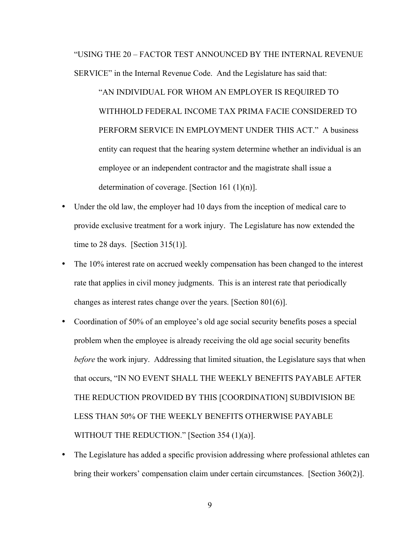"USING THE 20 – FACTOR TEST ANNOUNCED BY THE INTERNAL REVENUE SERVICE" in the Internal Revenue Code. And the Legislature has said that:

"AN INDIVIDUAL FOR WHOM AN EMPLOYER IS REQUIRED TO WITHHOLD FEDERAL INCOME TAX PRIMA FACIE CONSIDERED TO PERFORM SERVICE IN EMPLOYMENT UNDER THIS ACT." A business entity can request that the hearing system determine whether an individual is an employee or an independent contractor and the magistrate shall issue a determination of coverage. [Section 161 (1)(n)].

- Under the old law, the employer had 10 days from the inception of medical care to provide exclusive treatment for a work injury. The Legislature has now extended the time to 28 days. [Section  $315(1)$ ].
- The 10% interest rate on accrued weekly compensation has been changed to the interest rate that applies in civil money judgments. This is an interest rate that periodically changes as interest rates change over the years. [Section 801(6)].
- Coordination of 50% of an employee's old age social security benefits poses a special problem when the employee is already receiving the old age social security benefits *before* the work injury. Addressing that limited situation, the Legislature says that when that occurs, "IN NO EVENT SHALL THE WEEKLY BENEFITS PAYABLE AFTER THE REDUCTION PROVIDED BY THIS [COORDINATION] SUBDIVISION BE LESS THAN 50% OF THE WEEKLY BENEFITS OTHERWISE PAYABLE WITHOUT THE REDUCTION." [Section 354 (1)(a)].
- The Legislature has added a specific provision addressing where professional athletes can bring their workers' compensation claim under certain circumstances. [Section 360(2)].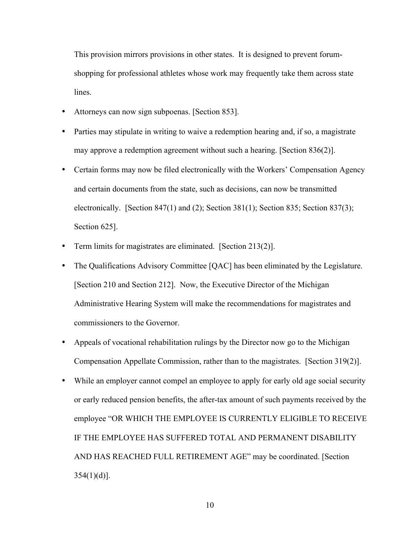This provision mirrors provisions in other states. It is designed to prevent forumshopping for professional athletes whose work may frequently take them across state lines.

- Attorneys can now sign subpoenas. [Section 853].
- Parties may stipulate in writing to waive a redemption hearing and, if so, a magistrate may approve a redemption agreement without such a hearing. [Section 836(2)].
- Certain forms may now be filed electronically with the Workers' Compensation Agency and certain documents from the state, such as decisions, can now be transmitted electronically. [Section 847(1) and (2); Section 381(1); Section 835; Section 837(3); Section 625].
- Term limits for magistrates are eliminated. [Section 213(2)].
- The Qualifications Advisory Committee [QAC] has been eliminated by the Legislature. [Section 210 and Section 212]. Now, the Executive Director of the Michigan Administrative Hearing System will make the recommendations for magistrates and commissioners to the Governor.
- Appeals of vocational rehabilitation rulings by the Director now go to the Michigan Compensation Appellate Commission, rather than to the magistrates. [Section 319(2)].
- While an employer cannot compel an employee to apply for early old age social security or early reduced pension benefits, the after-tax amount of such payments received by the employee "OR WHICH THE EMPLOYEE IS CURRENTLY ELIGIBLE TO RECEIVE IF THE EMPLOYEE HAS SUFFERED TOTAL AND PERMANENT DISABILITY AND HAS REACHED FULL RETIREMENT AGE" may be coordinated. [Section  $354(1)(d)$ ].